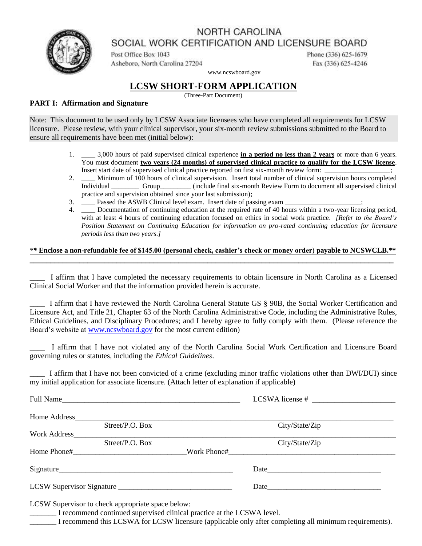## NORTH CAROLINA



SOCIAL WORK CERTIFICATION AND LICENSURE BOARD

Post Office Box 1043 Asheboro, North Carolina 27204 Phone (336) 625-1679 Fax (336) 625-4246

www.ncswboard.gov

### **LCSW SHORT-FORM APPLICATION**

(Three-Part Document)

#### **PART I: Affirmation and Signature**

Note: This document to be used only by LCSW Associate licensees who have completed all requirements for LCSW licensure. Please review, with your clinical supervisor, your six-month review submissions submitted to the Board to ensure all requirements have been met (initial below):

- 1. \_\_\_\_ 3,000 hours of paid supervised clinical experience **in a period no less than 2 years** or more than 6 years. You must document **two years (24 months) of supervised clinical practice to qualify for the LCSW license**. Insert start date of supervised clinical practice reported on first six-month review form:
- 2. \_\_\_\_ Minimum of 100 hours of clinical supervision. Insert total number of clinical supervision hours completed Individual \_\_\_\_\_\_\_\_ Group\_\_\_\_\_\_\_\_\_ (include final six-month Review Form to document all supervised clinical practice and supervision obtained since your last submission);
- 3. Passed the ASWB Clinical level exam. Insert date of passing exam \_\_\_\_\_\_\_\_\_\_\_\_
- 4. \_\_\_\_ Documentation of continuing education at the required rate of 40 hours within a two-year licensing period, with at least 4 hours of continuing education focused on ethics in social work practice. *[Refer to the Board's Position Statement on Continuing Education for information on pro-rated continuing education for licensure periods less than two years.]*

#### *\*\** **Enclose a non-refundable fee of \$145.00 (personal check, cashier's check or money order) payable to NCSWCLB.\*\* \_\_\_\_\_\_\_\_\_\_\_\_\_\_\_\_\_\_\_\_\_\_\_\_\_\_\_\_\_\_\_\_\_\_\_\_\_\_\_\_\_\_\_\_\_\_\_\_\_\_\_\_\_\_\_\_\_\_\_\_\_\_\_\_\_\_\_\_\_\_\_\_\_\_\_\_\_\_\_\_\_\_\_\_\_\_\_\_**

\_\_\_\_ I affirm that I have completed the necessary requirements to obtain licensure in North Carolina as a Licensed Clinical Social Worker and that the information provided herein is accurate.

\_\_\_\_ I affirm that I have reviewed the North Carolina General Statute GS § 90B, the Social Worker Certification and Licensure Act, and Title 21, Chapter 63 of the North Carolina Administrative Code, including the Administrative Rules, Ethical Guidelines, and Disciplinary Procedures; and I hereby agree to fully comply with them. (Please reference the Board's website at [www.ncswboard.gov](http://www.ncswboard.gov/) for the most current edition)

\_\_\_\_ I affirm that I have not violated any of the North Carolina Social Work Certification and Licensure Board governing rules or statutes, including the *Ethical Guidelines*.

\_\_\_\_ I affirm that I have not been convicted of a crime (excluding minor traffic violations other than DWI/DUI) since my initial application for associate licensure. (Attach letter of explanation if applicable)

|              | Full Name         |  |                |  |  |
|--------------|-------------------|--|----------------|--|--|
|              |                   |  |                |  |  |
|              | Street/P.O. Box   |  | City/State/Zip |  |  |
| Work Address |                   |  |                |  |  |
|              | Street / P.O. Box |  | City/State/Zip |  |  |
|              |                   |  |                |  |  |
|              |                   |  |                |  |  |
|              | Signature         |  |                |  |  |
|              |                   |  |                |  |  |

LCSW Supervisor to check appropriate space below:

I recommend continued supervised clinical practice at the LCSWA level.

I recommend this LCSWA for LCSW licensure (applicable only after completing all minimum requirements).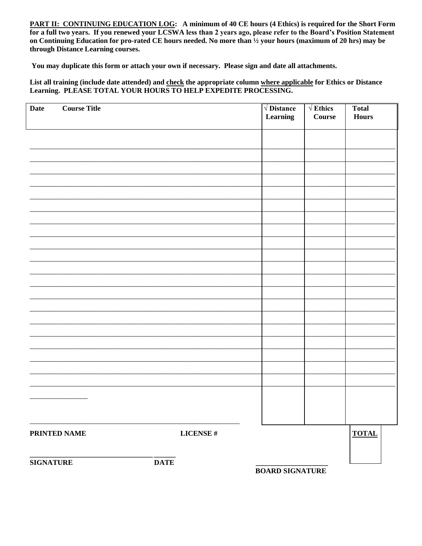PART II: CONTINUING EDUCATION LOG: A minimum of 40 CE hours (4 Ethics) is required for the Short Form for a full two years. If you renewed your LCSWA less than 2 years ago, please refer to the Board's Position Statement on Continuing Education for pro-rated CE hours needed. No more than 1/2 your hours (maximum of 20 hrs) may be through Distance Learning courses.

You may duplicate this form or attach your own if necessary. Please sign and date all attachments.

List all training (include date attended) and check the appropriate column where applicable for Ethics or Distance Learning. PLEASE TOTAL YOUR HOURS TO HELP EXPEDITE PROCESSING.

| <b>Date</b>      | <b>Course Title</b> |              | $\sqrt{\text{Distance}}$<br>Learning | $\sqrt{\text{Ethics}}$<br>Course | <b>Total</b><br><b>Hours</b> |
|------------------|---------------------|--------------|--------------------------------------|----------------------------------|------------------------------|
|                  |                     |              |                                      |                                  |                              |
|                  |                     |              |                                      |                                  |                              |
|                  |                     |              |                                      |                                  |                              |
|                  |                     |              |                                      |                                  |                              |
|                  |                     |              |                                      |                                  |                              |
|                  |                     |              |                                      |                                  |                              |
|                  |                     |              |                                      |                                  |                              |
|                  |                     |              |                                      |                                  |                              |
|                  |                     |              |                                      |                                  |                              |
|                  |                     |              |                                      |                                  |                              |
|                  |                     |              |                                      |                                  |                              |
|                  |                     |              |                                      |                                  |                              |
|                  |                     |              |                                      |                                  |                              |
|                  |                     |              |                                      |                                  |                              |
|                  |                     |              |                                      |                                  |                              |
| PRINTED NAME     |                     | LICENSE $\#$ |                                      |                                  | <b>TOTAL</b>                 |
| <b>SIGNATURE</b> |                     | <b>DATE</b>  | <b>BOARD SIGNATURE</b>               |                                  |                              |